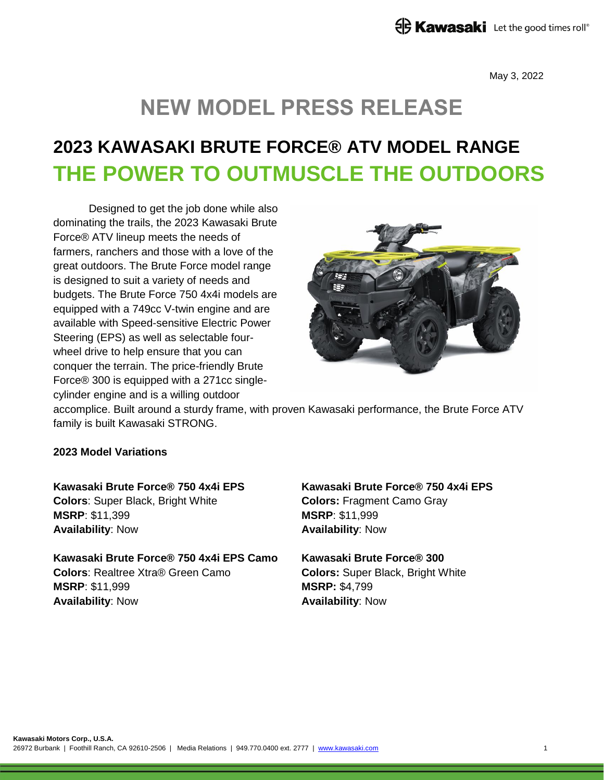May 3, 2022

# **NEW MODEL PRESS RELEASE**

## **2023 KAWASAKI BRUTE FORCE® ATV MODEL RANGE THE POWER TO OUTMUSCLE THE OUTDOORS**

Designed to get the job done while also dominating the trails, the 2023 Kawasaki Brute Force® ATV lineup meets the needs of farmers, ranchers and those with a love of the great outdoors. The Brute Force model range is designed to suit a variety of needs and budgets. The Brute Force 750 4x4i models are equipped with a 749cc V-twin engine and are available with Speed-sensitive Electric Power Steering (EPS) as well as selectable fourwheel drive to help ensure that you can conquer the terrain. The price-friendly Brute Force® 300 is equipped with a 271cc singlecylinder engine and is a willing outdoor



accomplice. Built around a sturdy frame, with proven Kawasaki performance, the Brute Force ATV family is built Kawasaki STRONG.

### **2023 Model Variations**

**Kawasaki Brute Force® 750 4x4i EPS Colors**: Super Black, Bright White **MSRP**: \$11,399 **Availability**: Now

**Kawasaki Brute Force® 750 4x4i EPS Camo Colors**: Realtree Xtra® Green Camo **MSRP**: \$11,999 **Availability**: Now

**Kawasaki Brute Force® 750 4x4i EPS Colors:** Fragment Camo Gray **MSRP**: \$11,999 **Availability**: Now

**Kawasaki Brute Force® 300 Colors:** Super Black, Bright White **MSRP:** \$4,799 **Availability**: Now